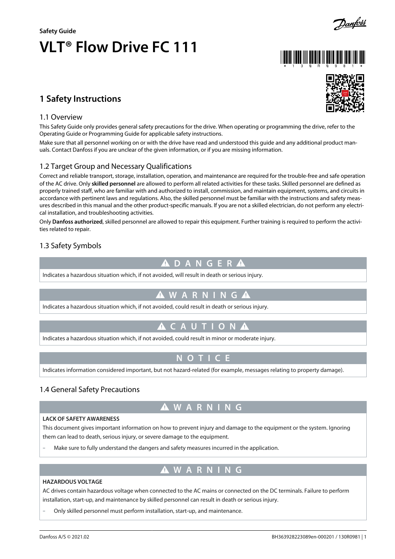

### **LACK OF SAFETY AWARENESS**

This document gives important information on how to prevent injury and damage to the equipment or the system. Ignoring them can lead to death, serious injury, or severe damage to the equipment.

**W A R N I N G**

- Make sure to fully understand the dangers and safety measures incurred in the application.

# **W A R N I N G**

### **HAZARDOUS VOLTAGE**

AC drives contain hazardous voltage when connected to the AC mains or connected on the DC terminals. Failure to perform installation, start-up, and maintenance by skilled personnel can result in death or serious injury.

Only skilled personnel must perform installation, start-up, and maintenance.

-

### Danfoss A/S © 2021.02 BH363928223089en-000201 / 130R0981 | 1

## **1 Safety Instructions**

#### 1.1 Overview

This Safety Guide only provides general safety precautions for the drive. When operating or programming the drive, refer to the Operating Guide or Programming Guide for applicable safety instructions.

Make sure that all personnel working on or with the drive have read and understood this guide and any additional product manuals. Contact Danfoss if you are unclear of the given information, or if you are missing information.

### 1.2 Target Group and Necessary Qualifications

Correct and reliable transport, storage, installation, operation, and maintenance are required for the trouble-free and safe operation of the AC drive. Only **skilled personnel** are allowed to perform all related activities for these tasks. Skilled personnel are defined as properly trained staff, who are familiar with and authorized to install, commission, and maintain equipment, systems, and circuits in accordance with pertinent laws and regulations. Also, the skilled personnel must be familiar with the instructions and safety measures described in this manual and the other product-specific manuals. If you are not a skilled electrician, do not perform any electrical installation, and troubleshooting activities.

Only **Danfoss authorized**, skilled personnel are allowed to repair this equipment. Further training is required to perform the activities related to repair.

### 1.3 Safety Symbols

### **D A N G E R**

Indicates a hazardous situation which, if not avoided, will result in death or serious injury.

# **W A R N I N G**

Indicates a hazardous situation which, if not avoided, could result in death or serious injury.

# **A** C A U T I O N  $\Lambda$

Indicates a hazardous situation which, if not avoided, could result in minor or moderate injury.

Indicates information considered important, but not hazard-related (for example, messages relating to property damage).

# 1.4 General Safety Precautions





# **N O T I C E**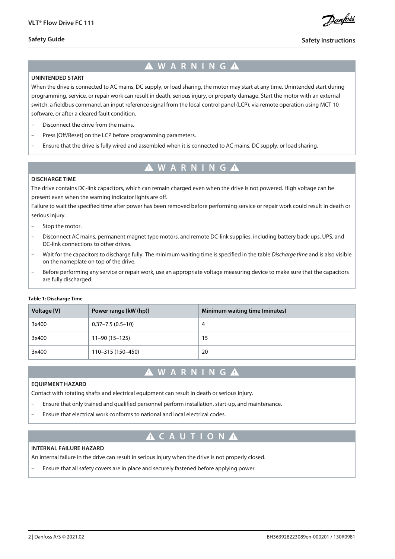**Safety Guide**

<u> Danfoss</u>

### **Safety Instructions**

# **W A R N I N G**

#### **UNINTENDED START**

When the drive is connected to AC mains, DC supply, or load sharing, the motor may start at any time. Unintended start during programming, service, or repair work can result in death, serious injury, or property damage. Start the motor with an external switch, a fieldbus command, an input reference signal from the local control panel (LCP), via remote operation using MCT 10 software, or after a cleared fault condition.

- Disconnect the drive from the mains.
- Press [Off/Reset] on the LCP before programming parameters.
- Ensure that the drive is fully wired and assembled when it is connected to AC mains, DC supply, or load sharing.

# **W A R N I N G**

#### **DISCHARGE TIME**

The drive contains DC-link capacitors, which can remain charged even when the drive is not powered. High voltage can be present even when the warning indicator lights are off.

Failure to wait the specified time after power has been removed before performing service or repair work could result in death or serious injury.

- Stop the motor.
- Disconnect AC mains, permanent magnet type motors, and remote DC-link supplies, including battery back-ups, UPS, and DC-link connections to other drives.
- Wait for the capacitors to discharge fully. The minimum waiting time is specified in the table *Discharge time* and is also visible on the nameplate on top of the drive.
- Before performing any service or repair work, use an appropriate voltage measuring device to make sure that the capacitors are fully discharged.

#### **Table 1: Discharge Time**

| Voltage [V] | Power range [kW (hp)]  | Minimum waiting time (minutes) |
|-------------|------------------------|--------------------------------|
| 3x400       | $0.37 - 7.5(0.5 - 10)$ | 4                              |
| 3x400       | $11 - 90(15 - 125)$    | 15                             |
| 3x400       | 110-315 (150-450)      | 20                             |

## **W A R N I N G**

#### **EQUIPMENT HAZARD**

Contact with rotating shafts and electrical equipment can result in death or serious injury.

- Ensure that only trained and qualified personnel perform installation, start-up, and maintenance.
- Ensure that electrical work conforms to national and local electrical codes.

# **A C A U T I O N A**

#### **INTERNAL FAILURE HAZARD**

An internal failure in the drive can result in serious injury when the drive is not properly closed.

- Ensure that all safety covers are in place and securely fastened before applying power.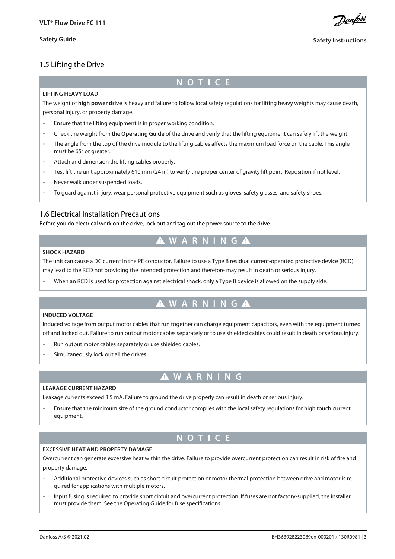<u>Danfoss</u>

### 1.5 Lifting the Drive

## **N O T I C E**

#### **LIFTING HEAVY LOAD**

The weight of **high power drive** is heavy and failure to follow local safety regulations for lifting heavy weights may cause death, personal injury, or property damage.

- Ensure that the lifting equipment is in proper working condition.
- Check the weight from the **Operating Guide** of the drive and verify that the lifting equipment can safely lift the weight.
- The angle from the top of the drive module to the lifting cables affects the maximum load force on the cable. This angle must be 65° or greater.
- Attach and dimension the lifting cables properly.
- Test lift the unit approximately 610 mm (24 in) to verify the proper center of gravity lift point. Reposition if not level.
- Never walk under suspended loads.
- To guard against injury, wear personal protective equipment such as gloves, safety glasses, and safety shoes.

### 1.6 Electrical Installation Precautions

Before you do electrical work on the drive, lock out and tag out the power source to the drive.

## **W A R N I N G**

#### **SHOCK HAZARD**

The unit can cause a DC current in the PE conductor. Failure to use a Type B residual current-operated protective device (RCD) may lead to the RCD not providing the intended protection and therefore may result in death or serious injury.

- When an RCD is used for protection against electrical shock, only a Type B device is allowed on the supply side.

# **W A R N I N G**

### **INDUCED VOLTAGE**

Induced voltage from output motor cables that run together can charge equipment capacitors, even with the equipment turned off and locked out. Failure to run output motor cables separately or to use shielded cables could result in death or serious injury.

- Run output motor cables separately or use shielded cables.
- Simultaneously lock out all the drives.

# **W A R N I N G**

#### **LEAKAGE CURRENT HAZARD**

Leakage currents exceed 3.5 mA. Failure to ground the drive properly can result in death or serious injury.

- Ensure that the minimum size of the ground conductor complies with the local safety regulations for high touch current equipment.

## **N O T I C E**

#### **EXCESSIVE HEAT AND PROPERTY DAMAGE**

Overcurrent can generate excessive heat within the drive. Failure to provide overcurrent protection can result in risk of fire and property damage.

- Additional protective devices such as short circuit protection or motor thermal protection between drive and motor is required for applications with multiple motors.
- Input fusing is required to provide short circuit and overcurrent protection. If fuses are not factory-supplied, the installer must provide them. See the Operating Guide for fuse specifications.